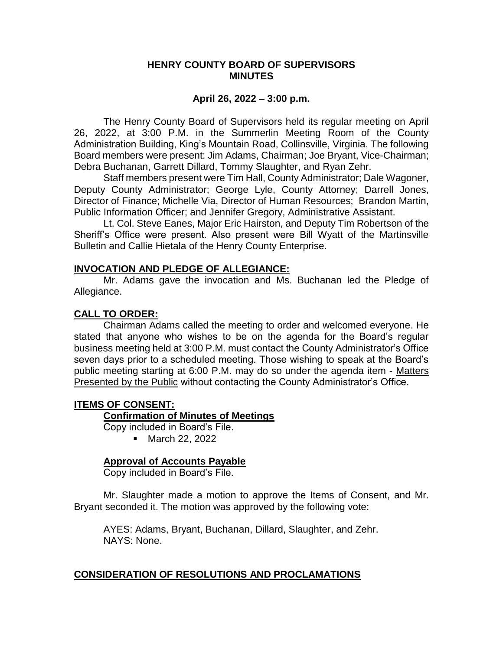### **HENRY COUNTY BOARD OF SUPERVISORS MINUTES**

### **April 26, 2022 – 3:00 p.m.**

The Henry County Board of Supervisors held its regular meeting on April 26, 2022, at 3:00 P.M. in the Summerlin Meeting Room of the County Administration Building, King's Mountain Road, Collinsville, Virginia. The following Board members were present: Jim Adams, Chairman; Joe Bryant, Vice-Chairman; Debra Buchanan, Garrett Dillard, Tommy Slaughter, and Ryan Zehr.

Staff members present were Tim Hall, County Administrator; Dale Wagoner, Deputy County Administrator; George Lyle, County Attorney; Darrell Jones, Director of Finance; Michelle Via, Director of Human Resources; Brandon Martin, Public Information Officer; and Jennifer Gregory, Administrative Assistant.

Lt. Col. Steve Eanes, Major Eric Hairston, and Deputy Tim Robertson of the Sheriff's Office were present. Also present were Bill Wyatt of the Martinsville Bulletin and Callie Hietala of the Henry County Enterprise.

### **INVOCATION AND PLEDGE OF ALLEGIANCE:**

Mr. Adams gave the invocation and Ms. Buchanan led the Pledge of Allegiance.

### **CALL TO ORDER:**

Chairman Adams called the meeting to order and welcomed everyone. He stated that anyone who wishes to be on the agenda for the Board's regular business meeting held at 3:00 P.M. must contact the County Administrator's Office seven days prior to a scheduled meeting. Those wishing to speak at the Board's public meeting starting at 6:00 P.M. may do so under the agenda item - Matters **Presented by the Public without contacting the County Administrator's Office.** 

### **ITEMS OF CONSENT:**

### **Confirmation of Minutes of Meetings**

Copy included in Board's File.

■ March 22, 2022

### **Approval of Accounts Payable**

Copy included in Board's File.

Mr. Slaughter made a motion to approve the Items of Consent, and Mr. Bryant seconded it. The motion was approved by the following vote:

AYES: Adams, Bryant, Buchanan, Dillard, Slaughter, and Zehr. NAYS: None.

# **CONSIDERATION OF RESOLUTIONS AND PROCLAMATIONS**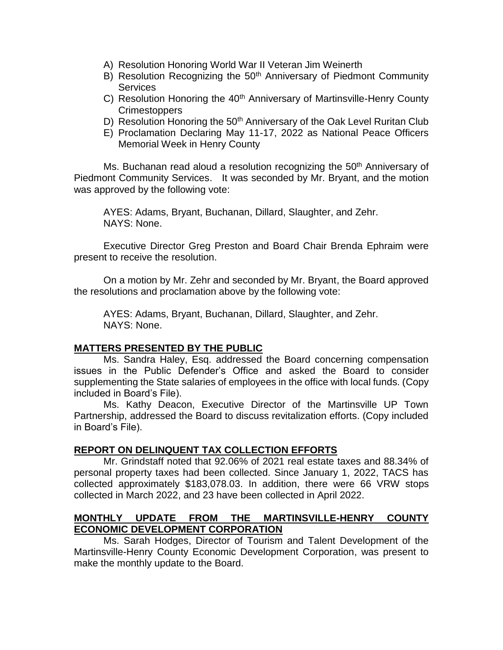- A) Resolution Honoring World War II Veteran Jim Weinerth
- B) Resolution Recognizing the 50<sup>th</sup> Anniversary of Piedmont Community Services
- C) Resolution Honoring the 40<sup>th</sup> Anniversary of Martinsville-Henry County Crimestoppers
- D) Resolution Honoring the 50<sup>th</sup> Anniversary of the Oak Level Ruritan Club
- E) Proclamation Declaring May 11-17, 2022 as National Peace Officers Memorial Week in Henry County

Ms. Buchanan read aloud a resolution recognizing the 50<sup>th</sup> Anniversary of Piedmont Community Services. It was seconded by Mr. Bryant, and the motion was approved by the following vote:

AYES: Adams, Bryant, Buchanan, Dillard, Slaughter, and Zehr. NAYS: None.

Executive Director Greg Preston and Board Chair Brenda Ephraim were present to receive the resolution.

On a motion by Mr. Zehr and seconded by Mr. Bryant, the Board approved the resolutions and proclamation above by the following vote:

AYES: Adams, Bryant, Buchanan, Dillard, Slaughter, and Zehr. NAYS: None.

# **MATTERS PRESENTED BY THE PUBLIC**

Ms. Sandra Haley, Esq. addressed the Board concerning compensation issues in the Public Defender's Office and asked the Board to consider supplementing the State salaries of employees in the office with local funds. (Copy included in Board's File).

Ms. Kathy Deacon, Executive Director of the Martinsville UP Town Partnership, addressed the Board to discuss revitalization efforts. (Copy included in Board's File).

# **REPORT ON DELINQUENT TAX COLLECTION EFFORTS**

Mr. Grindstaff noted that 92.06% of 2021 real estate taxes and 88.34% of personal property taxes had been collected. Since January 1, 2022, TACS has collected approximately \$183,078.03. In addition, there were 66 VRW stops collected in March 2022, and 23 have been collected in April 2022.

# **MONTHLY UPDATE FROM THE MARTINSVILLE-HENRY COUNTY ECONOMIC DEVELOPMENT CORPORATION**

Ms. Sarah Hodges, Director of Tourism and Talent Development of the Martinsville-Henry County Economic Development Corporation, was present to make the monthly update to the Board.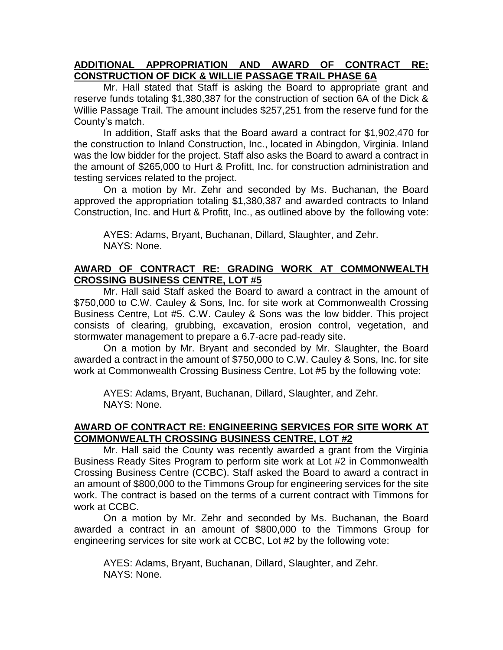# **ADDITIONAL APPROPRIATION AND AWARD OF CONTRACT RE: CONSTRUCTION OF DICK & WILLIE PASSAGE TRAIL PHASE 6A**

Mr. Hall stated that Staff is asking the Board to appropriate grant and reserve funds totaling \$1,380,387 for the construction of section 6A of the Dick & Willie Passage Trail. The amount includes \$257,251 from the reserve fund for the County's match.

In addition, Staff asks that the Board award a contract for \$1,902,470 for the construction to Inland Construction, Inc., located in Abingdon, Virginia. Inland was the low bidder for the project. Staff also asks the Board to award a contract in the amount of \$265,000 to Hurt & Profitt, Inc. for construction administration and testing services related to the project.

On a motion by Mr. Zehr and seconded by Ms. Buchanan, the Board approved the appropriation totaling \$1,380,387 and awarded contracts to Inland Construction, Inc. and Hurt & Profitt, Inc., as outlined above by the following vote:

AYES: Adams, Bryant, Buchanan, Dillard, Slaughter, and Zehr. NAYS: None.

# **AWARD OF CONTRACT RE: GRADING WORK AT COMMONWEALTH CROSSING BUSINESS CENTRE, LOT #5**

Mr. Hall said Staff asked the Board to award a contract in the amount of \$750,000 to C.W. Cauley & Sons, Inc. for site work at Commonwealth Crossing Business Centre, Lot #5. C.W. Cauley & Sons was the low bidder. This project consists of clearing, grubbing, excavation, erosion control, vegetation, and stormwater management to prepare a 6.7-acre pad-ready site.

On a motion by Mr. Bryant and seconded by Mr. Slaughter, the Board awarded a contract in the amount of \$750,000 to C.W. Cauley & Sons, Inc. for site work at Commonwealth Crossing Business Centre, Lot #5 by the following vote:

AYES: Adams, Bryant, Buchanan, Dillard, Slaughter, and Zehr. NAYS: None.

# **AWARD OF CONTRACT RE: ENGINEERING SERVICES FOR SITE WORK AT COMMONWEALTH CROSSING BUSINESS CENTRE, LOT #2**

Mr. Hall said the County was recently awarded a grant from the Virginia Business Ready Sites Program to perform site work at Lot #2 in Commonwealth Crossing Business Centre (CCBC). Staff asked the Board to award a contract in an amount of \$800,000 to the Timmons Group for engineering services for the site work. The contract is based on the terms of a current contract with Timmons for work at CCBC.

On a motion by Mr. Zehr and seconded by Ms. Buchanan, the Board awarded a contract in an amount of \$800,000 to the Timmons Group for engineering services for site work at CCBC, Lot #2 by the following vote:

AYES: Adams, Bryant, Buchanan, Dillard, Slaughter, and Zehr. NAYS: None.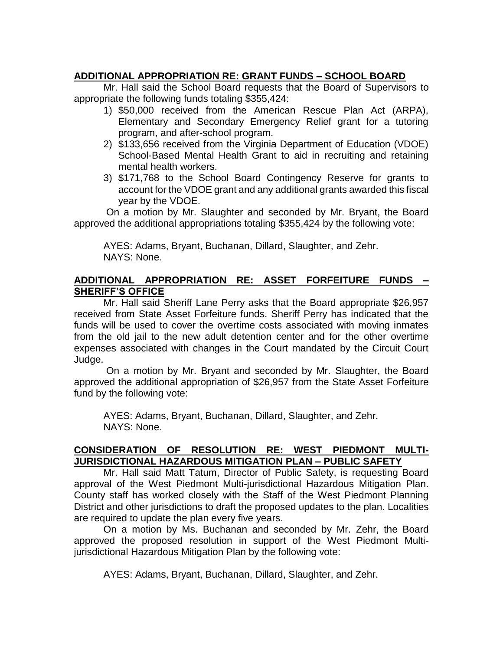# **ADDITIONAL APPROPRIATION RE: GRANT FUNDS – SCHOOL BOARD**

Mr. Hall said the School Board requests that the Board of Supervisors to appropriate the following funds totaling \$355,424:

- 1) \$50,000 received from the American Rescue Plan Act (ARPA), Elementary and Secondary Emergency Relief grant for a tutoring program, and after-school program.
- 2) \$133,656 received from the Virginia Department of Education (VDOE) School-Based Mental Health Grant to aid in recruiting and retaining mental health workers.
- 3) \$171,768 to the School Board Contingency Reserve for grants to account for the VDOE grant and any additional grants awarded this fiscal year by the VDOE.

On a motion by Mr. Slaughter and seconded by Mr. Bryant, the Board approved the additional appropriations totaling \$355,424 by the following vote:

AYES: Adams, Bryant, Buchanan, Dillard, Slaughter, and Zehr. NAYS: None.

# **ADDITIONAL APPROPRIATION RE: ASSET FORFEITURE FUNDS – SHERIFF'S OFFICE**

Mr. Hall said Sheriff Lane Perry asks that the Board appropriate \$26,957 received from State Asset Forfeiture funds. Sheriff Perry has indicated that the funds will be used to cover the overtime costs associated with moving inmates from the old jail to the new adult detention center and for the other overtime expenses associated with changes in the Court mandated by the Circuit Court Judge.

On a motion by Mr. Bryant and seconded by Mr. Slaughter, the Board approved the additional appropriation of \$26,957 from the State Asset Forfeiture fund by the following vote:

AYES: Adams, Bryant, Buchanan, Dillard, Slaughter, and Zehr. NAYS: None.

# **CONSIDERATION OF RESOLUTION RE: WEST PIEDMONT MULTI-JURISDICTIONAL HAZARDOUS MITIGATION PLAN – PUBLIC SAFETY**

Mr. Hall said Matt Tatum, Director of Public Safety, is requesting Board approval of the West Piedmont Multi-jurisdictional Hazardous Mitigation Plan. County staff has worked closely with the Staff of the West Piedmont Planning District and other jurisdictions to draft the proposed updates to the plan. Localities are required to update the plan every five years.

On a motion by Ms. Buchanan and seconded by Mr. Zehr, the Board approved the proposed resolution in support of the West Piedmont Multijurisdictional Hazardous Mitigation Plan by the following vote:

AYES: Adams, Bryant, Buchanan, Dillard, Slaughter, and Zehr.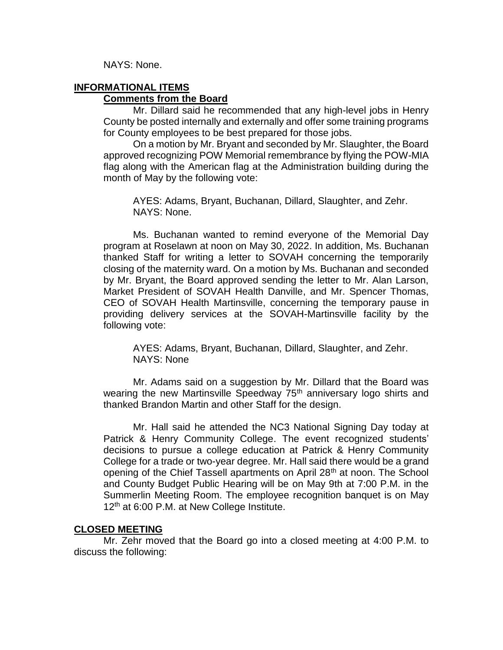NAYS: None.

# **INFORMATIONAL ITEMS**

# **Comments from the Board**

Mr. Dillard said he recommended that any high-level jobs in Henry County be posted internally and externally and offer some training programs for County employees to be best prepared for those jobs.

On a motion by Mr. Bryant and seconded by Mr. Slaughter, the Board approved recognizing POW Memorial remembrance by flying the POW-MIA flag along with the American flag at the Administration building during the month of May by the following vote:

AYES: Adams, Bryant, Buchanan, Dillard, Slaughter, and Zehr. NAYS: None.

Ms. Buchanan wanted to remind everyone of the Memorial Day program at Roselawn at noon on May 30, 2022. In addition, Ms. Buchanan thanked Staff for writing a letter to SOVAH concerning the temporarily closing of the maternity ward. On a motion by Ms. Buchanan and seconded by Mr. Bryant, the Board approved sending the letter to Mr. Alan Larson, Market President of SOVAH Health Danville, and Mr. Spencer Thomas, CEO of SOVAH Health Martinsville, concerning the temporary pause in providing delivery services at the SOVAH-Martinsville facility by the following vote:

AYES: Adams, Bryant, Buchanan, Dillard, Slaughter, and Zehr. NAYS: None

Mr. Adams said on a suggestion by Mr. Dillard that the Board was wearing the new Martinsville Speedway 75<sup>th</sup> anniversary logo shirts and thanked Brandon Martin and other Staff for the design.

Mr. Hall said he attended the NC3 National Signing Day today at Patrick & Henry Community College. The event recognized students' decisions to pursue a college education at Patrick & Henry Community College for a trade or two-year degree. Mr. Hall said there would be a grand opening of the Chief Tassell apartments on April 28<sup>th</sup> at noon. The School and County Budget Public Hearing will be on May 9th at 7:00 P.M. in the Summerlin Meeting Room. The employee recognition banquet is on May 12<sup>th</sup> at 6:00 P.M. at New College Institute.

### **CLOSED MEETING**

Mr. Zehr moved that the Board go into a closed meeting at 4:00 P.M. to discuss the following: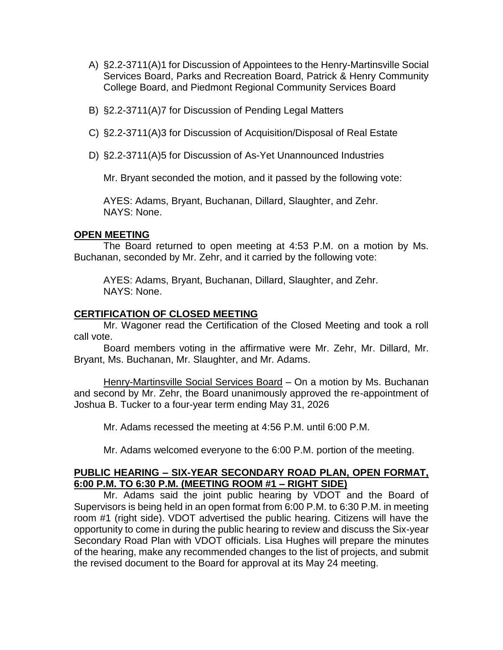- A) §2.2-3711(A)1 for Discussion of Appointees to the Henry-Martinsville Social Services Board, Parks and Recreation Board, Patrick & Henry Community College Board, and Piedmont Regional Community Services Board
- B) §2.2-3711(A)7 for Discussion of Pending Legal Matters
- C) §2.2-3711(A)3 for Discussion of Acquisition/Disposal of Real Estate
- D) §2.2-3711(A)5 for Discussion of As-Yet Unannounced Industries

Mr. Bryant seconded the motion, and it passed by the following vote:

AYES: Adams, Bryant, Buchanan, Dillard, Slaughter, and Zehr. NAYS: None.

#### **OPEN MEETING**

The Board returned to open meeting at 4:53 P.M. on a motion by Ms. Buchanan, seconded by Mr. Zehr, and it carried by the following vote:

AYES: Adams, Bryant, Buchanan, Dillard, Slaughter, and Zehr. NAYS: None.

### **CERTIFICATION OF CLOSED MEETING**

Mr. Wagoner read the Certification of the Closed Meeting and took a roll call vote.

Board members voting in the affirmative were Mr. Zehr, Mr. Dillard, Mr. Bryant, Ms. Buchanan, Mr. Slaughter, and Mr. Adams.

Henry-Martinsville Social Services Board - On a motion by Ms. Buchanan and second by Mr. Zehr, the Board unanimously approved the re-appointment of Joshua B. Tucker to a four-year term ending May 31, 2026

Mr. Adams recessed the meeting at 4:56 P.M. until 6:00 P.M.

Mr. Adams welcomed everyone to the 6:00 P.M. portion of the meeting.

### **PUBLIC HEARING – SIX-YEAR SECONDARY ROAD PLAN, OPEN FORMAT, 6:00 P.M. TO 6:30 P.M. (MEETING ROOM #1 – RIGHT SIDE)**

Mr. Adams said the joint public hearing by VDOT and the Board of Supervisors is being held in an open format from 6:00 P.M. to 6:30 P.M. in meeting room #1 (right side). VDOT advertised the public hearing. Citizens will have the opportunity to come in during the public hearing to review and discuss the Six-year Secondary Road Plan with VDOT officials. Lisa Hughes will prepare the minutes of the hearing, make any recommended changes to the list of projects, and submit the revised document to the Board for approval at its May 24 meeting.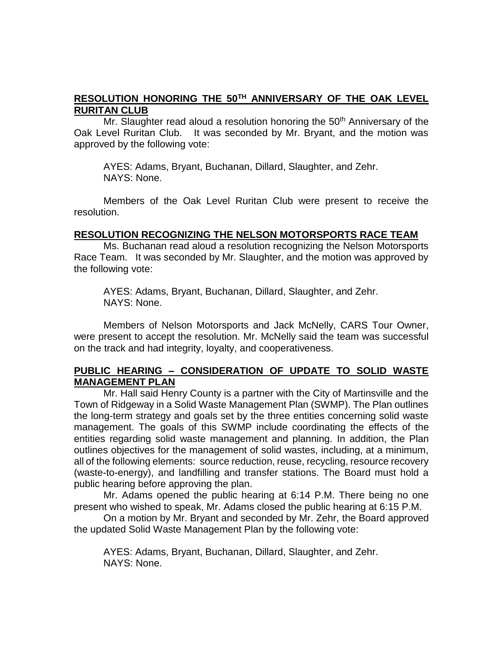# **RESOLUTION HONORING THE 50TH ANNIVERSARY OF THE OAK LEVEL RURITAN CLUB**

Mr. Slaughter read aloud a resolution honoring the  $50<sup>th</sup>$  Anniversary of the Oak Level Ruritan Club. It was seconded by Mr. Bryant, and the motion was approved by the following vote:

AYES: Adams, Bryant, Buchanan, Dillard, Slaughter, and Zehr. NAYS: None.

Members of the Oak Level Ruritan Club were present to receive the resolution.

### **RESOLUTION RECOGNIZING THE NELSON MOTORSPORTS RACE TEAM**

Ms. Buchanan read aloud a resolution recognizing the Nelson Motorsports Race Team. It was seconded by Mr. Slaughter, and the motion was approved by the following vote:

AYES: Adams, Bryant, Buchanan, Dillard, Slaughter, and Zehr. NAYS: None.

Members of Nelson Motorsports and Jack McNelly, CARS Tour Owner, were present to accept the resolution. Mr. McNelly said the team was successful on the track and had integrity, loyalty, and cooperativeness.

# **PUBLIC HEARING – CONSIDERATION OF UPDATE TO SOLID WASTE MANAGEMENT PLAN**

Mr. Hall said Henry County is a partner with the City of Martinsville and the Town of Ridgeway in a Solid Waste Management Plan (SWMP). The Plan outlines the long-term strategy and goals set by the three entities concerning solid waste management. The goals of this SWMP include coordinating the effects of the entities regarding solid waste management and planning. In addition, the Plan outlines objectives for the management of solid wastes, including, at a minimum, all of the following elements: source reduction, reuse, recycling, resource recovery (waste-to-energy), and landfilling and transfer stations. The Board must hold a public hearing before approving the plan.

Mr. Adams opened the public hearing at 6:14 P.M. There being no one present who wished to speak, Mr. Adams closed the public hearing at 6:15 P.M.

On a motion by Mr. Bryant and seconded by Mr. Zehr, the Board approved the updated Solid Waste Management Plan by the following vote:

AYES: Adams, Bryant, Buchanan, Dillard, Slaughter, and Zehr. NAYS: None.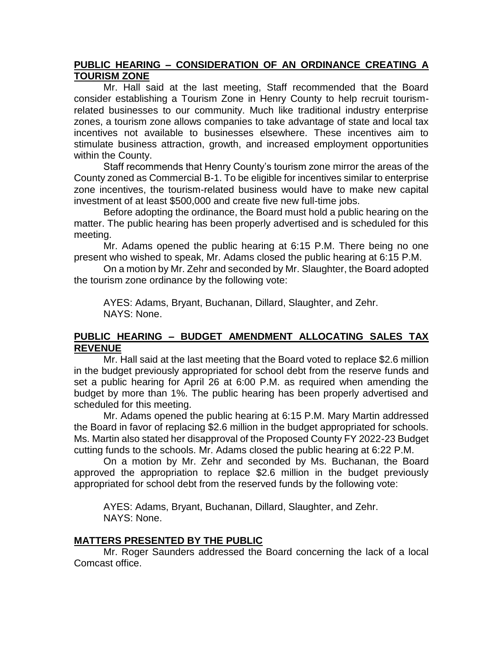# **PUBLIC HEARING – CONSIDERATION OF AN ORDINANCE CREATING A TOURISM ZONE**

Mr. Hall said at the last meeting, Staff recommended that the Board consider establishing a Tourism Zone in Henry County to help recruit tourismrelated businesses to our community. Much like traditional industry enterprise zones, a tourism zone allows companies to take advantage of state and local tax incentives not available to businesses elsewhere. These incentives aim to stimulate business attraction, growth, and increased employment opportunities within the County.

Staff recommends that Henry County's tourism zone mirror the areas of the County zoned as Commercial B-1. To be eligible for incentives similar to enterprise zone incentives, the tourism-related business would have to make new capital investment of at least \$500,000 and create five new full-time jobs.

Before adopting the ordinance, the Board must hold a public hearing on the matter. The public hearing has been properly advertised and is scheduled for this meeting.

Mr. Adams opened the public hearing at 6:15 P.M. There being no one present who wished to speak, Mr. Adams closed the public hearing at 6:15 P.M.

On a motion by Mr. Zehr and seconded by Mr. Slaughter, the Board adopted the tourism zone ordinance by the following vote:

AYES: Adams, Bryant, Buchanan, Dillard, Slaughter, and Zehr. NAYS: None.

# **PUBLIC HEARING – BUDGET AMENDMENT ALLOCATING SALES TAX REVENUE**

Mr. Hall said at the last meeting that the Board voted to replace \$2.6 million in the budget previously appropriated for school debt from the reserve funds and set a public hearing for April 26 at 6:00 P.M. as required when amending the budget by more than 1%. The public hearing has been properly advertised and scheduled for this meeting.

Mr. Adams opened the public hearing at 6:15 P.M. Mary Martin addressed the Board in favor of replacing \$2.6 million in the budget appropriated for schools. Ms. Martin also stated her disapproval of the Proposed County FY 2022-23 Budget cutting funds to the schools. Mr. Adams closed the public hearing at 6:22 P.M.

On a motion by Mr. Zehr and seconded by Ms. Buchanan, the Board approved the appropriation to replace \$2.6 million in the budget previously appropriated for school debt from the reserved funds by the following vote:

AYES: Adams, Bryant, Buchanan, Dillard, Slaughter, and Zehr. NAYS: None.

# **MATTERS PRESENTED BY THE PUBLIC**

Mr. Roger Saunders addressed the Board concerning the lack of a local Comcast office.